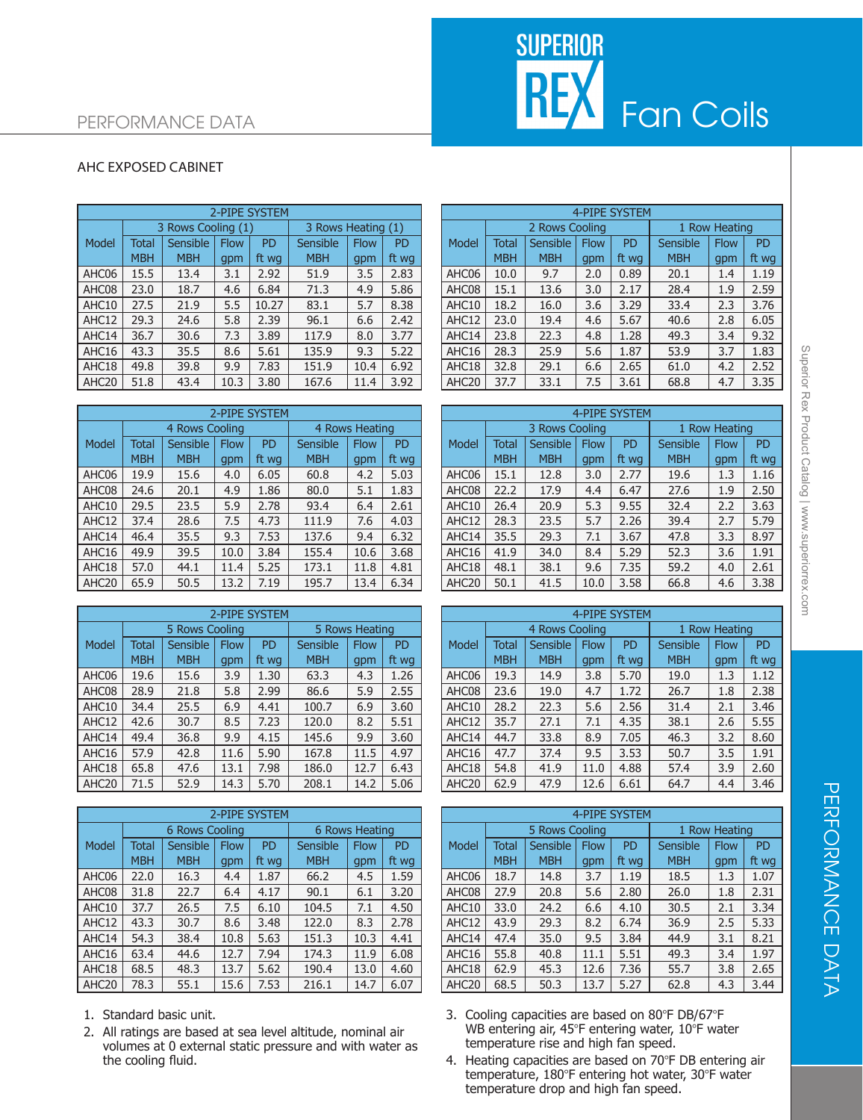## SUPERIOR<br>REX Fan Coils

## PERFORMANCE DATA

## AHC EXPOSED CABINET

|                   | 2-PIPE SYSTEM |                    |             |                |                    |             |                |  | 4-PIPE SYSTEM     |              |                 |             |           |                 |               |                |
|-------------------|---------------|--------------------|-------------|----------------|--------------------|-------------|----------------|--|-------------------|--------------|-----------------|-------------|-----------|-----------------|---------------|----------------|
|                   |               | 3 Rows Cooling (1) |             |                | 3 Rows Heating (1) |             |                |  |                   |              | 2 Rows Cooling  |             |           |                 | 1 Row Heating |                |
| Model             | <b>Total</b>  | Sensible           | <b>Flow</b> | P <sub>D</sub> | <b>Sensible</b>    | <b>Flow</b> | P <sub>D</sub> |  | Model             | <b>Total</b> | <b>Sensible</b> | <b>Flow</b> | <b>PD</b> | <b>Sensible</b> | <b>Flow</b>   | P <sub>D</sub> |
|                   | <b>MBH</b>    | <b>MBH</b>         | qpm         | ft wg          | <b>MBH</b>         | gpm         | ft wg          |  |                   | <b>MBH</b>   | <b>MBH</b>      | gpm         | ft wa     | <b>MBH</b>      | gpm           | ft wo          |
| AHC06             | 15.5          | 13.4               | 3.1         | 2.92           | 51.9               | 3.5         | 2.83           |  | AHC06             | 10.0         | 9.7             | 2.0         | 0.89      | 20.1            | 1.4           | 1.19           |
| AHC08             | 23.0          | 18.7               | 4.6         | 6.84           | 71.3               | 4.9         | 5.86           |  | AHC08             | 15.1         | 13.6            | 3.0         | 2.17      | 28.4            | 1.9           | 2.59           |
| AHC10             | 27.5          | 21.9               | 5.5         | 10.27          | 83.1               | 5.7         | 8.38           |  | AHC10             | 18.2         | 16.0            | 3.6         | 3.29      | 33.4            | 2.3           | 3.76           |
| AHC12             | 29.3          | 24.6               | 5.8         | 2.39           | 96.1               | 6.6         | 2.42           |  | AHC12             | 23.0         | 19.4            | 4.6         | 5.67      | 40.6            | 2.8           | 6.05           |
| AHC14             | 36.7          | 30.6               | 7.3         | 3.89           | 117.9              | 8.0         | 3.77           |  | AHC14             | 23.8         | 22.3            | 4.8         | 1.28      | 49.3            | 3.4           | 9.32           |
| AHC16             | 43.3          | 35.5               | 8.6         | 5.61           | 135.9              | 9.3         | 5.22           |  | AHC16             | 28.3         | 25.9            | 5.6         | 1.87      | 53.9            | 3.7           | 1.83           |
| AHC18             | 49.8          | 39.8               | 9.9         | 7.83           | 151.9              | 10.4        | 6.92           |  | AHC18             | 32.8         | 29.1            | 6.6         | 2.65      | 61.0            | 4.2           | 2.52           |
| AHC <sub>20</sub> | 51.8          | 43.4               | 10.3        | 3.80           | 167.6              | 11.4        | 3.92           |  | AHC <sub>20</sub> | 37.7         | 33.1            | 7.5         | 3.61      | 68.8            | 4.7           | 3.35           |
|                   |               |                    |             |                |                    |             |                |  |                   |              |                 |             |           |                 |               |                |

|                   | <b>2-PIPE SYSTEM</b> |                |             |           |            |                |           |  |  |  |  |  |
|-------------------|----------------------|----------------|-------------|-----------|------------|----------------|-----------|--|--|--|--|--|
|                   |                      | 4 Rows Cooling |             |           |            | 4 Rows Heating |           |  |  |  |  |  |
| Model             | <b>Total</b>         | Sensible       | <b>Flow</b> | <b>PD</b> | Sensible   | <b>Flow</b>    | <b>PD</b> |  |  |  |  |  |
|                   | <b>MBH</b>           | <b>MBH</b>     | gpm         | ft wg     | <b>MBH</b> | qpm            | ft wg     |  |  |  |  |  |
| AHC06             | 19.9                 | 15.6           | 4.0         | 6.05      | 60.8       | 4.2            | 5.03      |  |  |  |  |  |
| AHC08             | 24.6                 | 20.1           | 4.9         | 1.86      | 80.0       | 5.1            | 1.83      |  |  |  |  |  |
| AHC10             | 29.5                 | 23.5           | 5.9         | 2.78      | 93.4       | 6.4            | 2.61      |  |  |  |  |  |
| AHC12             | 37.4                 | 28.6           | 7.5         | 4.73      | 111.9      | 7.6            | 4.03      |  |  |  |  |  |
| AHC14             | 46.4                 | 35.5           | 9.3         | 7.53      | 137.6      | 9.4            | 6.32      |  |  |  |  |  |
| AHC16             | 49.9                 | 39.5           | 10.0        | 3.84      | 155.4      | 10.6           | 3.68      |  |  |  |  |  |
| AHC18             | 57.0                 | 44.1           | 11.4        | 5.25      | 173.1      | 11.8           | 4.81      |  |  |  |  |  |
| AHC <sub>20</sub> | 65.9                 | 50.5           | 13.2        | 7.19      | 195.7      | 13.4           | 6.34      |  |  |  |  |  |

|                   | 2-PIPE SYSTEM |                |                |           |            |             |           |  |  |  |  |
|-------------------|---------------|----------------|----------------|-----------|------------|-------------|-----------|--|--|--|--|
|                   |               | 5 Rows Cooling | 5 Rows Heating |           |            |             |           |  |  |  |  |
| Model             | <b>Total</b>  | Sensible       | <b>Flow</b>    | <b>PD</b> | Sensible   | <b>Flow</b> | <b>PD</b> |  |  |  |  |
|                   | <b>MBH</b>    | <b>MBH</b>     | gpm            | ft wg     | <b>MBH</b> | gpm         | ft wg     |  |  |  |  |
| AHC06             | 19.6          | 15.6           | 3.9            | 1.30      | 63.3       | 4.3         | 1.26      |  |  |  |  |
| AHC08             | 28.9          | 21.8           | 5.8            | 2.99      | 86.6       | 5.9         | 2.55      |  |  |  |  |
| AHC10             | 34.4          | 25.5           | 6.9            | 4.41      | 100.7      | 6.9         | 3.60      |  |  |  |  |
| AHC12             | 42.6          | 30.7           | 8.5            | 7.23      | 120.0      | 8.2         | 5.51      |  |  |  |  |
| AHC14             | 49.4          | 36.8           | 9.9            | 4.15      | 145.6      | 9.9         | 3.60      |  |  |  |  |
| AHC16             | 57.9          | 42.8           | 11.6           | 5.90      | 167.8      | 11.5        | 4.97      |  |  |  |  |
| AHC18             | 65.8          | 47.6           | 13.1           | 7.98      | 186.0      | 12.7        | 6.43      |  |  |  |  |
| AHC <sub>20</sub> | 71.5          | 52.9           | 14.3           | 5.70      | 208.1      | 14.2        | 5.06      |  |  |  |  |

|                   | 2-PIPE SYSTEM |                |             |           |                |             |           | 4-PIPE SYSTEM     |                |                 |             |           |               |             |           |
|-------------------|---------------|----------------|-------------|-----------|----------------|-------------|-----------|-------------------|----------------|-----------------|-------------|-----------|---------------|-------------|-----------|
|                   |               | 6 Rows Cooling |             |           | 6 Rows Heating |             |           |                   | 5 Rows Cooling |                 |             |           | 1 Row Heating |             |           |
| Model             | Total         | Sensible       | <b>Flow</b> | <b>PD</b> | Sensible       | <b>Flow</b> | <b>PD</b> | Model             | Total          | <b>Sensible</b> | <b>Flow</b> | <b>PD</b> | Sensible      | <b>Flow</b> | <b>PD</b> |
|                   | <b>MBH</b>    | <b>MBH</b>     | gpm         | ft wg     | <b>MBH</b>     | gpm         | ft wg     |                   | <b>MBH</b>     | <b>MBH</b>      | gpm         | ft wa     | <b>MBH</b>    | gpm         | ft wo     |
| AHC06             | 22.0          | 16.3           | 4.4         | 1.87      | 66.2           | 4.5         | 1.59      | AHC06             | 18.7           | 14.8            | 3.7         | 1.19      | 18.5          | 1.3         | 1.07      |
| AHC08             | 31.8          | 22.7           | 6.4         | 4.17      | 90.1           | 6.1         | 3.20      | AHC08             | 27.9           | 20.8            | 5.6         | 2.80      | 26.0          | 1.8         | 2.31      |
| AHC10             | 37.7          | 26.5           | 7.5         | 6.10      | 104.5          | 7.1         | 4.50      | AHC10             | 33.0           | 24.2            | 6.6         | 4.10      | 30.5          | 2.1         | 3.34      |
| AHC12             | 43.3          | 30.7           | 8.6         | 3.48      | 122.0          | 8.3         | 2.78      | AHC12             | 43.9           | 29.3            | 8.2         | 6.74      | 36.9          | 2.5         | 5.33      |
| AHC14             | 54.3          | 38.4           | 10.8        | 5.63      | 151.3          | 10.3        | 4.41      | AHC14             | 47.4           | 35.0            | 9.5         | 3.84      | 44.9          | 3.1         | 8.21      |
| AHC16             | 63.4          | 44.6           | 12.7        | 7.94      | 174.3          | 11.9        | 6.08      | AHC16             | 55.8           | 40.8            | 11.1        | 5.51      | 49.3          | 3.4         | 1.97      |
| AHC18             | 68.5          | 48.3           | 13.7        | 5.62      | 190.4          | 13.0        | 4.60      | AHC18             | 62.9           | 45.3            | 12.6        | 7.36      | 55.7          | 3.8         | 2.65      |
| AHC <sub>20</sub> | 78.3          | 55.1           | 15.6        | 7.53      | 216.1          | 14.7        | 6.07      | AHC <sub>20</sub> | 68.5           | 50.3            | 13.7        | 5.27      | 62.8          | 4.3         | 3.44      |

- 1. Standard basic unit.
- 2. All ratings are based at sea level altitude, nominal air volumes at 0 external static pressure and with water as the cooling fluid.

|              | 2-PIPE SYSTEM      |             |           |                    |             |           |  | 4-PIPE SYSTEM     |              |                 |             |           |            |               |           |
|--------------|--------------------|-------------|-----------|--------------------|-------------|-----------|--|-------------------|--------------|-----------------|-------------|-----------|------------|---------------|-----------|
|              | 3 Rows Cooling (1) |             |           | 3 Rows Heating (1) |             |           |  |                   |              | 2 Rows Cooling  |             |           |            | 1 Row Heating |           |
| <b>Total</b> | Sensible           | <b>Flow</b> | <b>PD</b> | <b>Sensible</b>    | <b>Flow</b> | <b>PD</b> |  | <b>Model</b>      | <b>Total</b> | <b>Sensible</b> | <b>Flow</b> | <b>PD</b> | Sensible   | <b>Flow</b>   | <b>PD</b> |
| <b>MBH</b>   | <b>MBH</b>         | qpm         | ft wg     | <b>MBH</b>         | qpm         | ft wg     |  |                   | <b>MBH</b>   | <b>MBH</b>      | gpm         | ft wg     | <b>MBH</b> | gpm           | ft wg     |
| 15.5         | 13.4               | 3.1         | 2.92      | 51.9               | 3.5         | 2.83      |  | AHC06             | 10.0         | 9.7             | 2.0         | 0.89      | 20.1       | 1.4           | 1.19      |
| 23.0         | 18.7               | 4.6         | 6.84      | 71.3               | 4.9         | 5.86      |  | AHC08             | 15.1         | 13.6            | 3.0         | 2.17      | 28.4       | 1.9           | 2.59      |
| 27.5         | 21.9               | 5.5         | 10.27     | 83.1               | 5.7         | 8.38      |  | AHC10             | 18.2         | 16.0            | 3.6         | 3.29      | 33.4       | 2.3           | 3.76      |
| 29.3         | 24.6               | 5.8         | 2.39      | 96.1               | 6.6         | 2.42      |  | AHC12             | 23.0         | 19.4            | 4.6         | 5.67      | 40.6       | 2.8           | 6.05      |
| 36.7         | 30.6               | 7.3         | 3.89      | 117.9              | 8.0         | 3.77      |  | AHC14             | 23.8         | 22.3            | 4.8         | 1.28      | 49.3       | 3.4           | 9.32      |
| 43.3         | 35.5               | 8.6         | 5.61      | 135.9              | 9.3         | 5.22      |  | AHC16             | 28.3         | 25.9            | 5.6         | 1.87      | 53.9       | 3.7           | 1.83      |
| 49.8         | 39.8               | 9.9         | 7.83      | 151.9              | 10.4        | 6.92      |  | AHC18             | 32.8         | 29.1            | 6.6         | 2.65      | 61.0       | 4.2           | 2.52      |
| 51.8         | 43.4               | 10.3        | 3.80      | 167.6              | 11.4        | 3.92      |  | AHC <sub>20</sub> | 37.7         | 33.1            | 7.5         | 3.61      | 68.8       | 4.7           | 3.35      |

|       | 2-PIPE SYSTEM |                |             |                |                 |                |           |  |                   | 4-PIPE SYSTEM |                 |             |           |            |               |           |
|-------|---------------|----------------|-------------|----------------|-----------------|----------------|-----------|--|-------------------|---------------|-----------------|-------------|-----------|------------|---------------|-----------|
|       |               | 4 Rows Cooling |             |                |                 | 4 Rows Heating |           |  |                   |               | 3 Rows Cooling  |             |           |            | 1 Row Heating |           |
| Model | <b>Total</b>  | Sensible       | <b>Flow</b> | P <sub>D</sub> | <b>Sensible</b> | <b>Flow</b>    | <b>PD</b> |  | Model             | <b>Total</b>  | <b>Sensible</b> | <b>Flow</b> | <b>PD</b> | Sensible   | <b>Flow</b>   | <b>PD</b> |
|       | <b>MBH</b>    | <b>MBH</b>     | qpm         | ft wg          | <b>MBH</b>      | qpm            | ft wg     |  |                   | <b>MBH</b>    | <b>MBH</b>      | gpm         | ft wg     | <b>MBH</b> | qpm           | ft wg     |
| AHC06 | 19.9          | 15.6           | 4.0         | 6.05           | 60.8            | 4.2            | 5.03      |  | AHC06             | 15.1          | 12.8            | 3.0         | 2.77      | 19.6       | 1.3           | 1.16      |
| AHC08 | 24.6          | 20.1           | 4.9         | 1.86           | 80.0            | 5.1            | 1.83      |  | AHC08             | 22.2          | 17.9            | 4.4         | 6.47      | 27.6       | 1.9           | 2.50      |
| AHC10 | 29.5          | 23.5           | 5.9         | 2.78           | 93.4            | 6.4            | 2.61      |  | AHC10             | 26.4          | 20.9            | 5.3         | 9.55      | 32.4       | 2.2           | 3.63      |
| AHC12 | 37.4          | 28.6           | 7.5         | 4.73           | 111.9           | 7.6            | 4.03      |  | AHC12             | 28.3          | 23.5            | 5.7         | 2.26      | 39.4       | 2.7           | 5.79      |
| AHC14 | 46.4          | 35.5           | 9.3         | 7.53           | 137.6           | 9.4            | 6.32      |  | AHC14             | 35.5          | 29.3            | 7.1         | 3.67      | 47.8       | 3.3           | 8.97      |
| AHC16 | 49.9          | 39.5           | 10.0        | 3.84           | 155.4           | 10.6           | 3.68      |  | AHC16             | 41.9          | 34.0            | 8.4         | 5.29      | 52.3       | 3.6           | 1.91      |
| AHC18 | 57.0          | 44.1           | 11.4        | 5.25           | 173.1           | 11.8           | 4.81      |  | AHC18             | 48.1          | 38.1            | 9.6         | 7.35      | 59.2       | 4.0           | 2.61      |
| AHC20 | 65.9          | 50.5           | 13.2        | 7.19           | 195.7           | 13.4           | 6.34      |  | AHC <sub>20</sub> | 50.1          | 41.5            | 10.0        | 3.58      | 66.8       | 4.6           | 3.38      |

| 2-PIPE SYSTEM |              |                |             |           |                 |             |           | 4-PIPE SYSTEM     |              |                |             |           |               |      |           |
|---------------|--------------|----------------|-------------|-----------|-----------------|-------------|-----------|-------------------|--------------|----------------|-------------|-----------|---------------|------|-----------|
|               |              | 5 Rows Cooling |             |           | 5 Rows Heating  |             |           |                   |              | 4 Rows Cooling |             |           | 1 Row Heating |      |           |
| Model         | <b>Total</b> | Sensible       | <b>Flow</b> | <b>PD</b> | <b>Sensible</b> | <b>Flow</b> | <b>PD</b> | Model             | <b>Total</b> | Sensible       | <b>Flow</b> | <b>PD</b> | Sensible      | Flow | <b>PD</b> |
|               | <b>MBH</b>   | <b>MBH</b>     | qpm         | ft wg     | <b>MBH</b>      | gpm         | ft wg     |                   | <b>MBH</b>   | <b>MBH</b>     | gpm         | ft wa     | <b>MBH</b>    | gpm  | ft wg     |
| AHC06         | 19.6         | 15.6           | 3.9         | 1.30      | 63.3            | 4.3         | 1.26      | AHC06             | 19.3         | 14.9           | 3.8         | 5.70      | 19.0          | 1.3  | 1.12      |
| AHC08         | 28.9         | 21.8           | 5.8         | 2.99      | 86.6            | 5.9         | 2.55      | AHC08             | 23.6         | 19.0           | 4.7         | 1.72      | 26.7          | 1.8  | 2.38      |
| AHC10         | 34.4         | 25.5           | 6.9         | 4.41      | 100.7           | 6.9         | 3.60      | AHC10             | 28.2         | 22.3           | 5.6         | 2.56      | 31.4          | 2.1  | 3.46      |
| AHC12         | 42.6         | 30.7           | 8.5         | 7.23      | 120.0           | 8.2         | 5.51      | AHC12             | 35.7         | 27.1           | 7.1         | 4.35      | 38.1          | 2.6  | 5.55      |
| AHC14         | 49.4         | 36.8           | 9.9         | 4.15      | 145.6           | 9.9         | 3.60      | AHC14             | 44.7         | 33.8           | 8.9         | 7.05      | 46.3          | 3.2  | 8.60      |
| AHC16         | 57.9         | 42.8           | 11.6        | 5.90      | 167.8           | 11.5        | 4.97      | AHC16             | 47.7         | 37.4           | 9.5         | 3.53      | 50.7          | 3.5  | 1.91      |
| AHC18         | 65.8         | 47.6           | 13.1        | 7.98      | 186.0           | 12.7        | 6.43      | AHC18             | 54.8         | 41.9           | 11.0        | 4.88      | 57.4          | 3.9  | 2.60      |
| AHC20         | 71.5         | 52.9           | 14.3        | 5.70      | 208.1           | 14.2        | 5.06      | AHC <sub>20</sub> | 62.9         | 47.9           | 12.6        | 6.61      | 64.7          | 4.4  | 3.46      |
|               |              |                |             |           |                 |             |           |                   |              |                |             |           |               |      |           |

| <b>2-PIPE SYSTEM</b> |                       |             |           |                 |                |           | 4-PIPE SYSTEM     |              |                 |             |           |               |             |           |
|----------------------|-----------------------|-------------|-----------|-----------------|----------------|-----------|-------------------|--------------|-----------------|-------------|-----------|---------------|-------------|-----------|
|                      | <b>6 Rows Cooling</b> |             |           |                 | 6 Rows Heating |           |                   |              | 5 Rows Cooling  |             |           | 1 Row Heating |             |           |
| <b>Total</b>         | Sensible              | <b>Flow</b> | <b>PD</b> | <b>Sensible</b> | <b>Flow</b>    | <b>PD</b> | Model             | <b>Total</b> | <b>Sensible</b> | <b>Flow</b> | <b>PD</b> | Sensible      | <b>Flow</b> | <b>PD</b> |
| <b>MBH</b>           | <b>MBH</b>            | qpm         | ft wg     | <b>MBH</b>      | qpm            | ft wg     |                   | <b>MBH</b>   | <b>MBH</b>      | qpm         | ft wa     | <b>MBH</b>    | gpm         | ft wg     |
| 22.0                 | 16.3                  | 4.4         | 1.87      | 66.2            | 4.5            | 1.59      | AHC06             | 18.7         | 14.8            | 3.7         | 1.19      | 18.5          | 1.3         | 1.07      |
| 31.8                 | 22.7                  | 6.4         | 4.17      | 90.1            | 6.1            | 3.20      | AHC08             | 27.9         | 20.8            | 5.6         | 2.80      | 26.0          | 1.8         | 2.31      |
| 37.7                 | 26.5                  | 7.5         | 6.10      | 104.5           | 7.1            | 4.50      | AHC10             | 33.0         | 24.2            | 6.6         | 4.10      | 30.5          | 2.1         | 3.34      |
| 43.3                 | 30.7                  | 8.6         | 3.48      | 122.0           | 8.3            | 2.78      | AHC12             | 43.9         | 29.3            | 8.2         | 6.74      | 36.9          | 2.5         | 5.33      |
| 54.3                 | 38.4                  | 10.8        | 5.63      | 151.3           | 10.3           | 4.41      | AHC14             | 47.4         | 35.0            | 9.5         | 3.84      | 44.9          | 3.1         | 8.21      |
| 63.4                 | 44.6                  | 12.7        | 7.94      | 174.3           | 11.9           | 6.08      | AHC16             | 55.8         | 40.8            | 11.1        | 5.51      | 49.3          | 3.4         | 1.97      |
| 68.5                 | 48.3                  | 13.7        | 5.62      | 190.4           | 13.0           | 4.60      | AHC18             | 62.9         | 45.3            | 12.6        | 7.36      | 55.7          | 3.8         | 2.65      |
| 78.3                 | 55.1                  | 15.6        | 7.53      | 216.1           | 14.7           | 6.07      | AHC <sub>20</sub> | 68.5         | 50.3            | 13.7        | 5.27      | 62.8          | 4.3         | 3.44      |

- 3. Cooling capacities are based on 80°F DB/67°F WB entering air, 45°F entering water,  $10^{\circ}$ F water temperature rise and high fan speed.
- 4. Heating capacities are based on  $70^{\circ}$ F DB entering air temperature, 180°F entering hot water, 30°F water temperature drop and high fan speed.